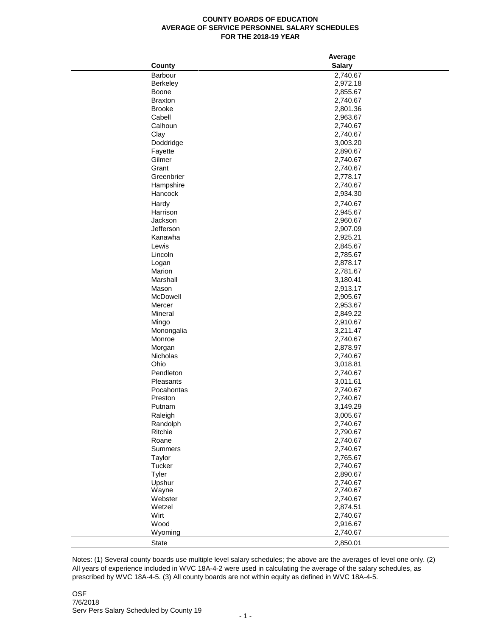## **COUNTY BOARDS OF EDUCATION AVERAGE OF SERVICE PERSONNEL SALARY SCHEDULES FOR THE 2018-19 YEAR**

|                | Average       |
|----------------|---------------|
| County         | <b>Salary</b> |
| Barbour        | 2,740.67      |
| Berkeley       | 2,972.18      |
| Boone          | 2,855.67      |
| <b>Braxton</b> | 2,740.67      |
| <b>Brooke</b>  | 2,801.36      |
| Cabell         | 2,963.67      |
| Calhoun        | 2,740.67      |
| Clay           | 2,740.67      |
| Doddridge      | 3,003.20      |
| Fayette        | 2,890.67      |
| Gilmer         | 2,740.67      |
| Grant          | 2,740.67      |
| Greenbrier     | 2,778.17      |
| Hampshire      | 2,740.67      |
| Hancock        | 2,934.30      |
|                |               |
| Hardy          | 2,740.67      |
| Harrison       | 2,945.67      |
| Jackson        | 2,960.67      |
| Jefferson      | 2,907.09      |
| Kanawha        | 2,925.21      |
| Lewis          | 2,845.67      |
| Lincoln        | 2,785.67      |
| Logan          | 2,878.17      |
| Marion         | 2,781.67      |
| Marshall       | 3,180.41      |
| Mason          | 2,913.17      |
| McDowell       | 2,905.67      |
| Mercer         | 2,953.67      |
| Mineral        | 2,849.22      |
| Mingo          | 2,910.67      |
| Monongalia     | 3,211.47      |
| Monroe         | 2,740.67      |
| Morgan         | 2,878.97      |
| Nicholas       | 2,740.67      |
| Ohio           | 3,018.81      |
| Pendleton      | 2,740.67      |
| Pleasants      | 3,011.61      |
| Pocahontas     | 2,740.67      |
| Preston        | 2,740.67      |
| Putnam         | 3,149.29      |
| Raleigh        | 3,005.67      |
| Randolph       | 2,740.67      |
| Ritchie        | 2,790.67      |
| Roane          | 2,740.67      |
| Summers        | 2,740.67      |
| Taylor         | 2,765.67      |
| Tucker         | 2,740.67      |
| Tyler          | 2,890.67      |
| Upshur         | 2,740.67      |
| Wayne          | 2,740.67      |
| Webster        | 2,740.67      |
| Wetzel         | 2,874.51      |
| Wirt           | 2,740.67      |
| Wood           | 2,916.67      |
| Wyoming        | 2,740.67      |
|                |               |
| State          | 2,850.01      |

Notes: (1) Several county boards use multiple level salary schedules; the above are the averages of level one only. (2) All years of experience included in WVC 18A-4-2 were used in calculating the average of the salary schedules, as prescribed by WVC 18A-4-5. (3) All county boards are not within equity as defined in WVC 18A-4-5.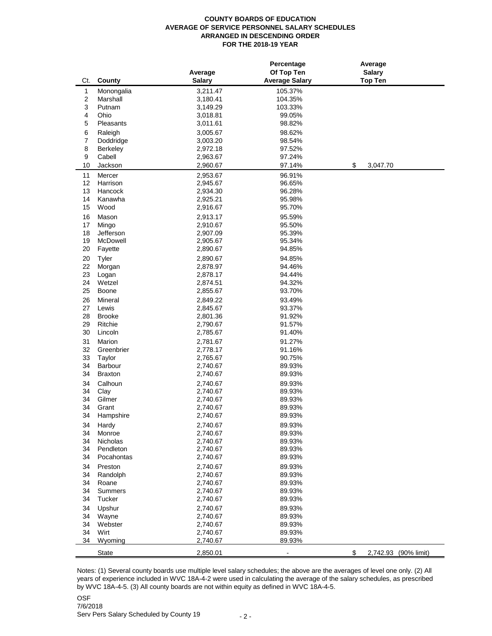## **COUNTY BOARDS OF EDUCATION AVERAGE OF SERVICE PERSONNEL SALARY SCHEDULES ARRANGED IN DESCENDING ORDER FOR THE 2018-19 YEAR**

| Ct.              |                           | Average              | Percentage<br>Of Top Ten<br><b>Average Salary</b> | Average<br><b>Salary</b><br><b>Top Ten</b> |                      |
|------------------|---------------------------|----------------------|---------------------------------------------------|--------------------------------------------|----------------------|
|                  | County                    | <b>Salary</b>        |                                                   |                                            |                      |
| $\mathbf{1}$     | Monongalia                | 3,211.47             | 105.37%                                           |                                            |                      |
| $\boldsymbol{2}$ | Marshall                  | 3,180.41             | 104.35%                                           |                                            |                      |
| 3                | Putnam<br>Ohio            | 3,149.29             | 103.33%<br>99.05%                                 |                                            |                      |
| 4<br>5           | Pleasants                 | 3,018.81             | 98.82%                                            |                                            |                      |
|                  |                           | 3,011.61             |                                                   |                                            |                      |
| 6                | Raleigh                   | 3,005.67             | 98.62%                                            |                                            |                      |
| $\overline{7}$   | Doddridge                 | 3,003.20             | 98.54%                                            |                                            |                      |
| 8                | Berkeley                  | 2,972.18             | 97.52%                                            |                                            |                      |
| 9                | Cabell                    | 2,963.67             | 97.24%                                            |                                            |                      |
| 10               | Jackson                   | 2,960.67             | 97.14%                                            | \$<br>3,047.70                             |                      |
| 11               | Mercer                    | 2,953.67             | 96.91%                                            |                                            |                      |
| 12               | Harrison                  | 2,945.67             | 96.65%                                            |                                            |                      |
| 13               | Hancock                   | 2,934.30             | 96.28%                                            |                                            |                      |
| 14<br>15         | Kanawha<br>Wood           | 2,925.21             | 95.98%<br>95.70%                                  |                                            |                      |
|                  |                           | 2,916.67             |                                                   |                                            |                      |
| 16               | Mason                     | 2,913.17             | 95.59%                                            |                                            |                      |
| 17               | Mingo                     | 2,910.67             | 95.50%                                            |                                            |                      |
| 18               | Jefferson                 | 2,907.09             | 95.39%                                            |                                            |                      |
| 19               | McDowell                  | 2,905.67             | 95.34%                                            |                                            |                      |
| 20               | Fayette                   | 2,890.67             | 94.85%                                            |                                            |                      |
| 20               | Tyler                     | 2,890.67             | 94.85%                                            |                                            |                      |
| 22               | Morgan                    | 2,878.97             | 94.46%                                            |                                            |                      |
| 23               | Logan                     | 2,878.17             | 94.44%                                            |                                            |                      |
| 24               | Wetzel                    | 2,874.51             | 94.32%                                            |                                            |                      |
| 25               | Boone                     | 2,855.67             | 93.70%                                            |                                            |                      |
| 26               | Mineral                   | 2,849.22             | 93.49%                                            |                                            |                      |
| 27               | Lewis                     | 2,845.67             | 93.37%                                            |                                            |                      |
| 28               | <b>Brooke</b>             | 2,801.36             | 91.92%                                            |                                            |                      |
| 29               | Ritchie                   | 2,790.67             | 91.57%                                            |                                            |                      |
| 30               | Lincoln                   | 2,785.67             | 91.40%                                            |                                            |                      |
| 31               | Marion                    | 2,781.67             | 91.27%                                            |                                            |                      |
| 32               | Greenbrier                | 2,778.17             | 91.16%                                            |                                            |                      |
| 33               | Taylor                    | 2,765.67             | 90.75%                                            |                                            |                      |
| 34<br>34         | Barbour<br><b>Braxton</b> | 2,740.67<br>2,740.67 | 89.93%<br>89.93%                                  |                                            |                      |
|                  |                           |                      |                                                   |                                            |                      |
| 34               | Calhoun                   | 2,740.67             | 89.93%                                            |                                            |                      |
| 34               | Clay<br>Gilmer            | 2,740.67<br>2,740.67 | 89.93%                                            |                                            |                      |
| 34<br>34         |                           |                      | 89.93%                                            |                                            |                      |
| 34               | Grant<br>Hampshire        | 2,740.67<br>2,740.67 | 89.93%<br>89.93%                                  |                                            |                      |
|                  |                           |                      |                                                   |                                            |                      |
| 34<br>34         | Hardy                     | 2,740.67             | 89.93%                                            |                                            |                      |
| 34               | Monroe<br>Nicholas        | 2,740.67<br>2,740.67 | 89.93%<br>89.93%                                  |                                            |                      |
| 34               | Pendleton                 | 2,740.67             | 89.93%                                            |                                            |                      |
| 34               | Pocahontas                | 2,740.67             | 89.93%                                            |                                            |                      |
|                  |                           |                      |                                                   |                                            |                      |
| 34<br>34         | Preston<br>Randolph       | 2,740.67<br>2,740.67 | 89.93%<br>89.93%                                  |                                            |                      |
| 34               | Roane                     | 2,740.67             | 89.93%                                            |                                            |                      |
| 34               | <b>Summers</b>            | 2,740.67             | 89.93%                                            |                                            |                      |
| 34               | Tucker                    | 2,740.67             | 89.93%                                            |                                            |                      |
| 34               | Upshur                    | 2,740.67             | 89.93%                                            |                                            |                      |
| 34               | Wayne                     | 2,740.67             | 89.93%                                            |                                            |                      |
| 34               | Webster                   | 2,740.67             | 89.93%                                            |                                            |                      |
| 34               | Wirt                      | 2,740.67             | 89.93%                                            |                                            |                      |
| 34               | Wyoming                   | 2,740.67             | 89.93%                                            |                                            |                      |
|                  |                           |                      |                                                   |                                            |                      |
|                  | <b>State</b>              | 2,850.01             |                                                   | \$                                         | 2,742.93 (90% limit) |

Notes: (1) Several county boards use multiple level salary schedules; the above are the averages of level one only. (2) All years of experience included in WVC 18A-4-2 were used in calculating the average of the salary schedules, as prescribed by WVC 18A-4-5. (3) All county boards are not within equity as defined in WVC 18A-4-5.